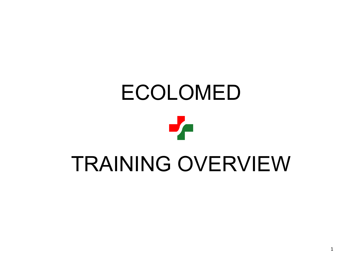# ECOLOMED Je TRAINING OVERVIEW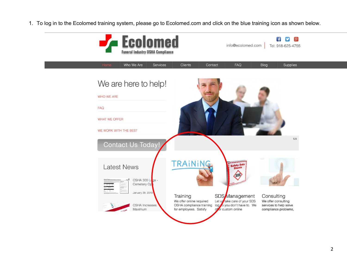1. To log in to the Ecolomed training system, please go to Ecolomed.com and click on the blue training icon as shown below.

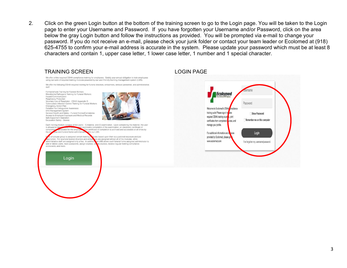2. Click on the green Login button at the bottom of the training screen to go to the Login page. You will be taken to the Login page to enter your Username and Password. If you have forgotten your Username and/or Password, click on the area below the gray Login button and follow the instructions as provided. You will be prompted via e-mail to change your password. If you do not receive an e-mail, please check your junk folder or contact your team leader or Ecolomed at (918) 625-4755 to confirm your e-mail address is accurate in the system. Please update your password which must be at least 8 characters and contain 1, upper case letter, 1 lower case letter, 1 number and 1 special character.

#### TRAINING SCREEN LOGIN PAGE We offer online required OSHA compliance training for employees. Satisfy your annual obligation to train employees using our suite of required training modules powered by our user-friendly learning management system (LMS). We offer the following OSHA-required training for funeral directors, embalmers, removal personnel, and administrative staff Formaldehyde Training for Funeral Workers **Ecolomed** Bloodborne Pathogens Training for Funeral Workers Hazard Communication Respiratory Protection Voluntary Use of Respirator - OSHA Appendix D Password Tuberculosis Infection Control Training for Funeral Workers Emergency Action Plan Portable Fire Extinguisher Awareness Welcome to Ecolomed's OSHA ompliance EHS Management System training suite! Please sign in to ake General Health and Safety - Funeral Homes/Cemeteries Show Password Access to Employee Exposure and Medical Records required OSHA training cours s, print Safe Equipment Operation Remember me on this computer Excavation Safety - Graves certificates from completed courses, and manage your profile. Each training module consists of two parts: 1) material, and 2) examination. Upon completing the material, the user is allowed to take n successful completion of the examination, an electronic certificate of nerated for the empl his certificate of completion is archived and accessible at all times by comple ee and funeral home administra n our LMS For additional information and solvices Login employee group is assigned certain training ules based upon their occupational exposure and job provided by Ecolomed, please g scription. For example funeral directors and em ers are assigned almost all of the modules, while www.ecolomed.com dministrative staff are assigned only a few. In addition our LMS allows each funeral home assigned administrator to I've forgotten my username/password add or delete users, reset passwords, assign courses, courses, receive regular training compliance scorecards, and more Login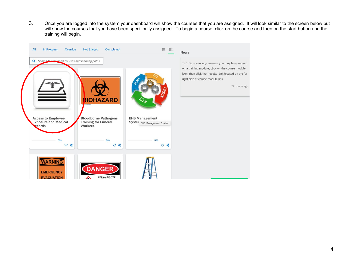3. Once you are logged into the system your dashboard will show the courses that you are assigned. It will look similar to the screen below but will show the courses that you have been specifically assigned. To begin a course, click on the course and then on the start button and the training will begin.

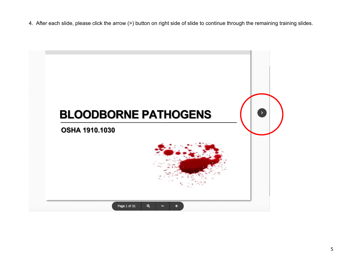4. After each slide, please click the arrow (>) button on right side of slide to continue through the remaining training slides.

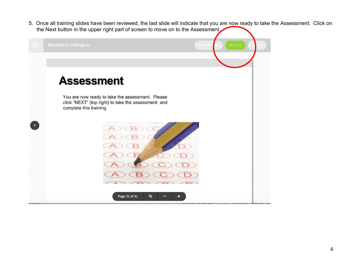5. Once all training slides have been reviewed, the last slide will indicate that you are now ready to take the Assessment. Click on the Next button in the upper right part of screen to move on to the Assessment.

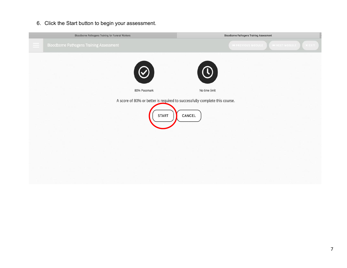### 6. Click the Start button to begin your assessment.

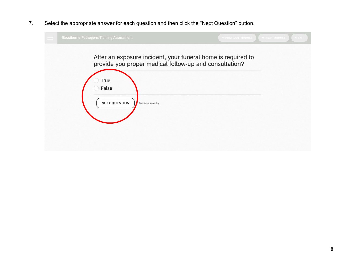7. Select the appropriate answer for each question and then click the "Next Question" button.

| <b>Bloodborne Pathogens Training Assessment</b>                                                                        | <b>M PREVIOUS MODULE</b><br><b>MINEXT MODULE</b><br><b>XEXIT</b> |
|------------------------------------------------------------------------------------------------------------------------|------------------------------------------------------------------|
| After an exposure incident, your funeral home is required to<br>provide you proper medical follow-up and consultation? |                                                                  |
| True<br>False                                                                                                          |                                                                  |
| <b>NEXT QUESTION</b><br>5 Questions remaining                                                                          |                                                                  |
|                                                                                                                        |                                                                  |
|                                                                                                                        |                                                                  |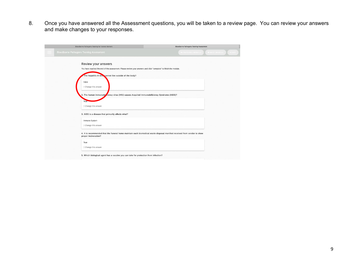8. Once you have answered all the Assessment questions, you will be taken to a review page. You can review your answers and make changes to your responses.

| Bloodborne Pathogens Training for Funeral Workers                                                                                                                                                                                                                                                                                                                                                                                                                                     | <b>Bloodborne Pathogens Training Assessment</b>                                                                          |
|---------------------------------------------------------------------------------------------------------------------------------------------------------------------------------------------------------------------------------------------------------------------------------------------------------------------------------------------------------------------------------------------------------------------------------------------------------------------------------------|--------------------------------------------------------------------------------------------------------------------------|
| <b>Bloodborne Pathogens Training Assessment</b>                                                                                                                                                                                                                                                                                                                                                                                                                                       | <b><i>MEREVIOUS MODULE</i></b><br>IN NEXT MODULE<br><b>EXIT</b>                                                          |
| Review your answers<br>You have reached the end of the assessment. Please review your answers and click "complete" to finish the module.<br>The hepatitis B virts cannot live outside of the body?<br>False<br><sup>1</sup> Change this answer<br>2. The human immunode ciency virus (HIV) causes Acquired Immunodeficiency Syndrome (AIDS)?<br>True<br>t Change this answer<br>3. AIDS is a disease that primarily affects what?<br>Immune System<br><sup>1</sup> Change this answer |                                                                                                                          |
| proper incineration?<br>True<br><sup>1</sup> Change this answer<br>5. Which biological agent has a vaccine you can take for protection from infection?                                                                                                                                                                                                                                                                                                                                | 4. It is recommended that the funeral home maintain each biomedical waste disposal manifest received from vendor to show |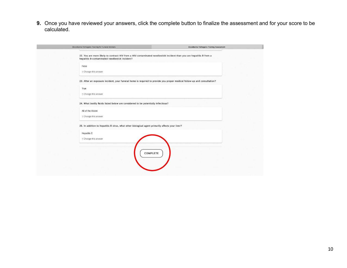**9.** Once you have reviewed your answers, click the complete button to finalize the assessment and for your score to be calculated.

| Bloodborne Pathogens Training for Funeral Workers                                                                                                                      | <b>Bloodborne Pathogens Training Assessment</b> |
|------------------------------------------------------------------------------------------------------------------------------------------------------------------------|-------------------------------------------------|
| 22. You are more likely to contract HIV from a HIV-contaminated needlestick incident than you are hepatitis B from a<br>hepatitis B-contaminated needlestick incident? |                                                 |
| False<br>↑ Change this answer                                                                                                                                          |                                                 |
| 23. After an exposure incident, your funeral home is required to provide you proper medical follow-up and consultation?                                                |                                                 |
| True                                                                                                                                                                   |                                                 |
| ↑ Change this answer                                                                                                                                                   |                                                 |
| 24. What bodily fluids listed below are considered to be potentially infectious?                                                                                       |                                                 |
| All of the Above<br>↑ Change this answer                                                                                                                               |                                                 |
|                                                                                                                                                                        |                                                 |
| 25. In addition to hepatitis B virus, what other biological agent primarily affects your liver?                                                                        |                                                 |
| Hepatitis C<br>t Change this answer                                                                                                                                    |                                                 |
| <b>COMPLETE</b>                                                                                                                                                        |                                                 |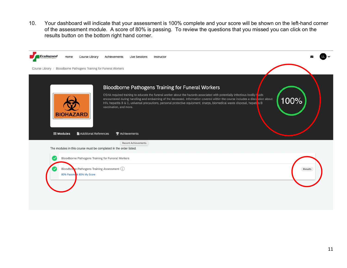10. Your dashboard will indicate that your assessment is 100% complete and your score will be shown on the left-hand corner of the assessment module. A score of 80% is passing. To review the questions that you missed you can click on the results button on the bottom right hand corner.